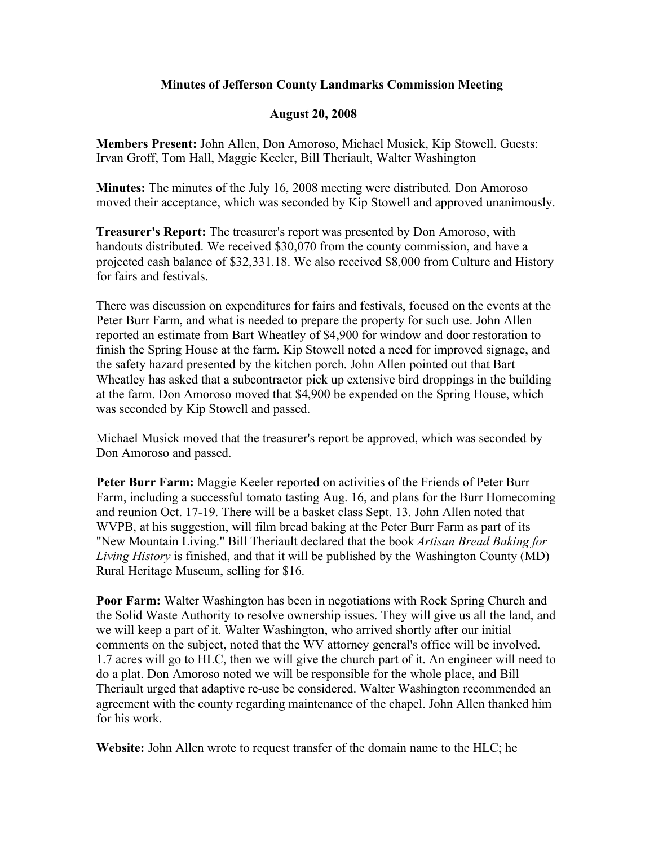## **Minutes of Jefferson County Landmarks Commission Meeting**

## **August 20, 2008**

**Members Present:** John Allen, Don Amoroso, Michael Musick, Kip Stowell. Guests: Irvan Groff, Tom Hall, Maggie Keeler, Bill Theriault, Walter Washington

**Minutes:** The minutes of the July 16, 2008 meeting were distributed. Don Amoroso moved their acceptance, which was seconded by Kip Stowell and approved unanimously.

**Treasurer's Report:** The treasurer's report was presented by Don Amoroso, with handouts distributed. We received \$30,070 from the county commission, and have a projected cash balance of \$32,331.18. We also received \$8,000 from Culture and History for fairs and festivals.

There was discussion on expenditures for fairs and festivals, focused on the events at the Peter Burr Farm, and what is needed to prepare the property for such use. John Allen reported an estimate from Bart Wheatley of \$4,900 for window and door restoration to finish the Spring House at the farm. Kip Stowell noted a need for improved signage, and the safety hazard presented by the kitchen porch. John Allen pointed out that Bart Wheatley has asked that a subcontractor pick up extensive bird droppings in the building at the farm. Don Amoroso moved that \$4,900 be expended on the Spring House, which was seconded by Kip Stowell and passed.

Michael Musick moved that the treasurer's report be approved, which was seconded by Don Amoroso and passed.

**Peter Burr Farm:** Maggie Keeler reported on activities of the Friends of Peter Burr Farm, including a successful tomato tasting Aug. 16, and plans for the Burr Homecoming and reunion Oct. 17-19. There will be a basket class Sept. 13. John Allen noted that WVPB, at his suggestion, will film bread baking at the Peter Burr Farm as part of its "New Mountain Living." Bill Theriault declared that the book *Artisan Bread Baking for Living History* is finished, and that it will be published by the Washington County (MD) Rural Heritage Museum, selling for \$16.

**Poor Farm:** Walter Washington has been in negotiations with Rock Spring Church and the Solid Waste Authority to resolve ownership issues. They will give us all the land, and we will keep a part of it. Walter Washington, who arrived shortly after our initial comments on the subject, noted that the WV attorney general's office will be involved. 1.7 acres will go to HLC, then we will give the church part of it. An engineer will need to do a plat. Don Amoroso noted we will be responsible for the whole place, and Bill Theriault urged that adaptive re-use be considered. Walter Washington recommended an agreement with the county regarding maintenance of the chapel. John Allen thanked him for his work.

**Website:** John Allen wrote to request transfer of the domain name to the HLC; he